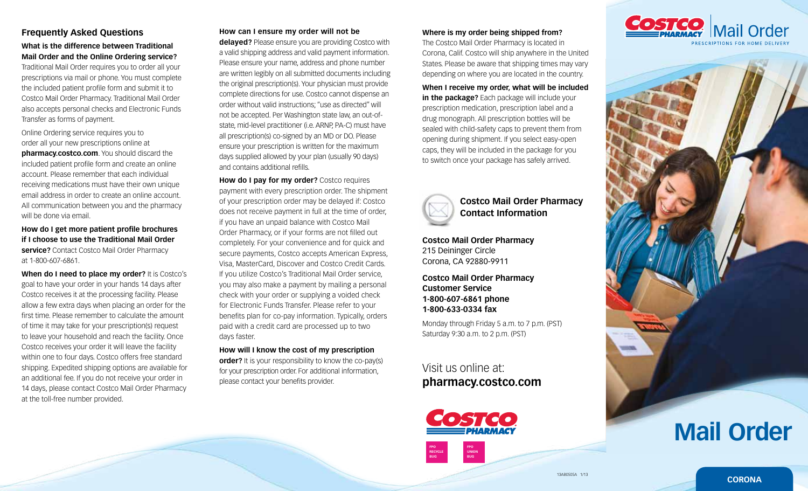## **Frequently Asked Questions**

## **What is the difference between Traditional Mail Order and the Online Ordering service?**

Traditional Mail Order requires you to order all your prescriptions via mail or phone. You must complete the included patient profile form and submit it to Costco Mail Order Pharmacy. Traditional Mail Order also accepts personal checks and Electronic Funds Transfer as forms of payment.

Online Ordering service requires you to order all your new prescriptions online at **pharmacy.costco.com**. You should discard the included patient profile form and create an online account. Please remember that each individual receiving medications must have their own unique email address in order to create an online account. All communication between you and the pharmacy will be done via email.

**How do I get more patient profile brochures if I choose to use the Traditional Mail Order service?** Contact Costco Mail Order Pharmacy at 1-800-607-6861.

**When do I need to place my order?** It is Costco's goal to have your order in your hands 14 days after Costco receives it at the processing facility. Please allow a few extra days when placing an order for the first time. Please remember to calculate the amount of time it may take for your prescription(s) request to leave your household and reach the facility. Once Costco receives your order it will leave the facility within one to four days. Costco offers free standard shipping. Expedited shipping options are available for an additional fee. If you do not receive your order in 14 days, please contact Costco Mail Order Pharmacy at the toll-free number provided.

### **How can I ensure my order will not be**

**delayed?** Please ensure you are providing Costco with a valid shipping address and valid payment information. Please ensure your name, address and phone number are written legibly on all submitted documents including the original prescription(s). Your physician must provide complete directions for use. Costco cannot dispense an order without valid instructions; "use as directed" will not be accepted. Per Washington state law, an out-ofstate, mid-level practitioner (i.e. ARNP, PA-C) must have all prescription(s) co-signed by an MD or DO. Please ensure your prescription is written for the maximum days supplied allowed by your plan (usually 90 days) and contains additional refills.

**How do I pay for my order?** Costco requires payment with every prescription order. The shipment of your prescription order may be delayed if: Costco does not receive payment in full at the time of order, if you have an unpaid balance with Costco Mail Order Pharmacy, or if your forms are not filled out completely. For your convenience and for quick and secure payments, Costco accepts American Express, Visa, MasterCard, Discover and Costco Credit Cards. If you utilize Costco's Traditional Mail Order service, you may also make a payment by mailing a personal check with your order or supplying a voided check for Electronic Funds Transfer. Please refer to your benefits plan for co-pay information. Typically, orders paid with a credit card are processed up to two days faster.

**How will I know the cost of my prescription order?** It is your responsibility to know the co-pay(s) for your prescription order. For additional information, please contact your benefits provider.

#### **Where is my order being shipped from?**

The Costco Mail Order Pharmacy is located in Corona, Calif. Costco will ship anywhere in the United States. Please be aware that shipping times may vary depending on where you are located in the country.

**When I receive my order, what will be included** 

**in the package?** Each package will include your prescription medication, prescription label and a drug monograph. All prescription bottles will be sealed with child-safety caps to prevent them from opening during shipment. If you select easy-open caps, they will be included in the package for you to switch once your package has safely arrived.



**Costco Mail Order Pharmacy Contact Information**

**Costco Mail Order Pharmacy** 215 Deininger Circle Corona, CA 92880-9911

**Costco Mail Order Pharmacy Customer Service 1-800-607-6861 phone 1-800-633-0334 fax**

Monday through Friday 5 a.m. to 7 p.m. (PST) Saturday 9:30 a.m. to 2 p.m. (PST)

Visit us online at: **pharmacy.costco.com**